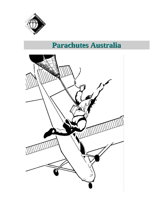

# **Parachutes Australia**

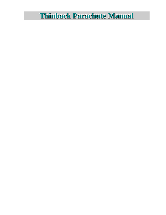# **Thinback Parachute Manual**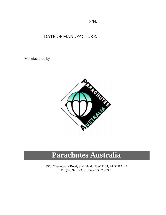S/N: \_\_\_\_\_\_\_\_\_\_\_\_\_\_\_\_\_\_\_\_\_\_\_

### DATE OF MANUFACTURE: \_\_\_\_\_\_\_\_\_\_\_\_\_\_\_\_\_\_\_\_\_\_\_

Manufactured by:



# **Parachutes Australia**

35/317 Woodpark Road, Smithfield, NSW 2164, AUSTRALIA Ph. (02) 97572355 Fax (02) 97572471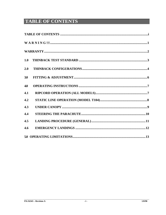## **TABLE OF CONTENTS**

|     | $\bf{W} \textbf{A} \textbf{R} \textbf{N} \textbf{I} \textbf{N} \textbf{G} \textbf{!!} \textbf{} \textbf{} \textbf{} \textbf{} \textbf{} \textbf{} \textbf{} \textbf{} \textbf{} \textbf{} \textbf{} \textbf{} \textbf{} \textbf{} \textbf{} \textbf{} \textbf{} \textbf{} \textbf{} \textbf{} \textbf{} \textbf{} \textbf{} \textbf{} \textbf{} \textbf{} \textbf{} \textbf{} \textbf{$ |  |  |
|-----|-----------------------------------------------------------------------------------------------------------------------------------------------------------------------------------------------------------------------------------------------------------------------------------------------------------------------------------------------------------------------------------------|--|--|
|     |                                                                                                                                                                                                                                                                                                                                                                                         |  |  |
| 1.0 |                                                                                                                                                                                                                                                                                                                                                                                         |  |  |
| 2.0 |                                                                                                                                                                                                                                                                                                                                                                                         |  |  |
| 3.0 |                                                                                                                                                                                                                                                                                                                                                                                         |  |  |
| 4.0 |                                                                                                                                                                                                                                                                                                                                                                                         |  |  |
| 4.1 |                                                                                                                                                                                                                                                                                                                                                                                         |  |  |
| 4.2 |                                                                                                                                                                                                                                                                                                                                                                                         |  |  |
| 4.3 |                                                                                                                                                                                                                                                                                                                                                                                         |  |  |
| 4.4 |                                                                                                                                                                                                                                                                                                                                                                                         |  |  |
| 4.5 |                                                                                                                                                                                                                                                                                                                                                                                         |  |  |
| 4.6 |                                                                                                                                                                                                                                                                                                                                                                                         |  |  |
|     |                                                                                                                                                                                                                                                                                                                                                                                         |  |  |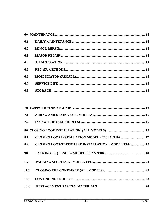| 6.2 |  |
|-----|--|
| 6.3 |  |
| 6.4 |  |
| 6.5 |  |
| 6.6 |  |
| 6.7 |  |
| 6.8 |  |

| 7.1         |                                                       |    |
|-------------|-------------------------------------------------------|----|
|             |                                                       |    |
|             |                                                       |    |
| 8.1         | CLOSING LOOP INSTALLATION MODEL - T101 & T10217       |    |
| 8.2         | CLOSING LOOP/STATIC LINE INSTALLATION - MODEL T104 17 |    |
| 9.0         |                                                       |    |
| <b>10.0</b> |                                                       |    |
| <b>11.0</b> |                                                       |    |
| 12.0        |                                                       |    |
| $13-0$      | <b>REPLACEMENT PARTS &amp; MATERIALS</b>              | 28 |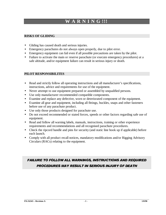## **WW AA RR NN II NN GG !!!!!!**

### **RISKS OF GLIDING**

- Gliding has caused death and serious injuries.
- Emergency parachutes do not always open properly, due to pilot error.
- Emergency equipment can fail even if all possible precautions are taken by the pilot.
- Failure to activate the main or reserve parachute (or execute emergency procedures) at a safe altitude, and/or equipment failure can result in serious injury or death.

### **PILOT RESPONSIBILITES**

- Read and strictly follow all operating instructions and all manufacturer's specifications, instructions, advice and requirements for use of the equipment.
- Never attempt to use equipment prepared or assembled by unqualified persons.
- Use only manufacturer recommended compatible components.
- Examine and replace any defective, worn or deteriorated component of the equipment.
- Examine all gear and equipment, including all fittings, buckles, snaps and other fasteners before use of any parachute product.
- Use only those products designed for parachute use.
- Do not exceed recommended or stated forces, speeds or other factors regarding safe use of equipment.
- Read and follow all warning labels, manuals, instructions, training or other experience requirements and recommendations and all recognised parachute procedures.
- Check the ripcord handle and pins for security (and static line hook up if applicable) before each launch.
- Comply with all product recall notices, mandatory modifications and/or Rigging Advisory Circulars (RACs) relating to the equipment.

### **FAILURE TO FOLLOW ALL WARNINGS, INSTRUCTIONS AND REQUIRED** PROCEDURES MAY RESULT IN SERIOUS INJURY OF DEATH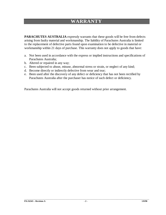## **WARRANTY**

**PARACHUTES AUSTRALIA** expressly warrants that these goods will be free from defects arising from faulty material and workmanship. The liability of Parachutes Australia is limited to the replacement of defective parts found upon examination to be defective in material or workmanship within 21 days of purchase. This warranty does not apply to goods that have:

- a. Not been used in accordance with the express or implied instructions and specifications of Parachutes Australia;
- b. Altered or repaired in any way;
- c. Been subjected to abuse, misuse, abnormal stress or strain, or neglect of any kind;
- d. Become directly or indirectly defective from wear and tear;
- e. Been used after the discovery of any defect or deficiency that has not been rectified by Parachutes Australia after the purchaser has notice of such defect or deficiency.

Parachutes Australia will not accept goods returned without prior arrangement.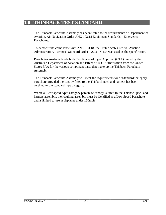### **1.0 THINBACK TEST STANDARD**

The Thinback Parachute Assembly has been tested to the requirements of Department of Aviation, Air Navigation Order ANO 103.18 Equipment Standards – Emergency Parachutes.

To demonstrate compliance with ANO 103.18, the United States Federal Aviation Administration, Technical Standard Order T.S.O – C23b was used as the specification.

Parachutes Australia holds both Certificates of Type Approval (CTA) issued by the Australian Department of Aviation and letters of TSO Authorisation from the United States FAA for the various component parts that make up the Thinback Parachute Assembly.

The Thinback Parachute Assembly will meet the requirements for a 'Standard' category parachute provided the canopy fitted to the Thinback pack and harness has been certified to the standard type category.

Where a 'Low speed type' category parachute canopy is fitted to the Thinback pack and harness assembly, the resulting assembly must be identified as a Low Speed Parachute and is limited to use in airplanes under 150mph.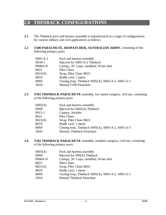## **2.0 THINBACK CONFIGURATIONS**

- 2.1 The Thinback pack and harness assembly is manufactured in a range of configurations for various military and civil applications as follows:
- **2.2 T100 PARACHUTE, DESPATCHER, AUSTRALIAN ARMY**, consisting of the following primary parts:

| S005-A-2 | Pack and harness assembly                                  |
|----------|------------------------------------------------------------|
| H030-1   | Ripcord for S005-A-2 Thinback                              |
| P008A-N  | Canopy, 26' Lopo, modified, W/net skirt                    |
| B021     | Pilot Chute                                                |
| B021(S)  | Strap, Pilot Chute B021                                    |
| B019     | Bridle cord, 1 metre                                       |
| B069     | Closing loop, Thinback $S005(A)$ , $S005-A-2$ , $S005-A-3$ |
| A024     | Manual T100 Parachute                                      |
|          |                                                            |

**2.3 T101 THINBACK PARACHUTE** assembly, low speed category, civil use, consisting of the following primary parts:

| SO05(A) | Pack and harness assembly                                  |
|---------|------------------------------------------------------------|
| H006    | Ripcord for S005(A) Thinback                               |
| P015-1  | Canopy, Aerolite                                           |
| B021    | Pilot Chute                                                |
| B021(S) | Strap, Pilot Chute B021                                    |
| B019    | Bridle cord, 1 metre                                       |
| B069    | Closing loop, Thinback $SO05(A)$ , $SO05-A-2$ , $SO05-A-3$ |
| A043    | Manual, Thinback Parachute                                 |
|         |                                                            |

**2.4 T102 THINBACK PARACHUTE** assembly, standard category, civil use, consisting of the following primary parts:

| Pack and harness assembly                          |
|----------------------------------------------------|
| Ripcord for S00(A) Thinback                        |
| Canopy, 26' Lopo, modified, W/net skirt            |
| Pilot Chute                                        |
| Strap, Pilot Chute B021                            |
| Bridle cord, 1 metre                               |
| Closing loop, Thinback S005(A), S005-A-2, S005-A-3 |
| <b>Manual Thinback Parachute</b>                   |
|                                                    |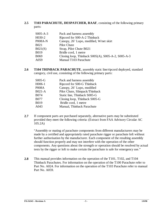### **2.5 T103 PARACHUTE, DESPATCHER, RAAF**, consisting of the following primary parts:

| $S005-A-3$ | Pack and harness assembly                          |
|------------|----------------------------------------------------|
| H030-2     | Ripcord for S00-A-2 Thinback                       |
| P008A-N    | Canopy, 26' Lopo, modified, W/net skirt            |
| B021       | Pilot Chute                                        |
| B021(S)    | Strap, Pilot Chute B021                            |
| B019       | Bridle cord, 1 metre                               |
| B069       | Closing loop, Thinback S005(A), S005-A-2, S005-A-3 |
| A059       | Manual T103 Parachute                              |

**2.6 T104 THINBACK PARACHUTE**, assembly static line/ripcord deployed, standard category, civil use, consisting of the following primary parts:

| $S005-G$     | Pack and harness assembly      |
|--------------|--------------------------------|
| H006-1       | Ripcord for S00-G Thinback     |
| <b>P008A</b> | Canopy, 26' Lopo, modified     |
| $B021-A$     | Pilot Chute, Slimpack/Thinback |
| <b>B074</b>  | Static line, Thinback S005-G   |
| <b>B077</b>  | Closing loop, Thinback S005-G  |
| <b>B019</b>  | Bridle cord, 1 metre           |
| A043         | Manual, Thinback Parachute     |

**2.7** If component parts are purchased separately, alternative parts may be substituted provided they meet the following criteria: (Extract from FAA Advisory Circular AC 105.2A)

"Assembly or mating of parachute components from different manufacturers may be made by a certified and appropriately rated parachute rigger or parachute loft without further authorisation by the manufacturer. Each component of the resulting assembly should function properly and may not interfere with the operation of the other components. Any questions about the strength or operation should be resolved by actual tests by the rigger or loft to make certain the parachute is safe for emergency use."

**2.8** This manual provides information on the operation of the T101, T102, and T104 Thinback Parachutes. For information on the operation of the T100 Parachute refer to Part No. A024. For information on the operation of the T103 Parachute refer to manual Part No. A059.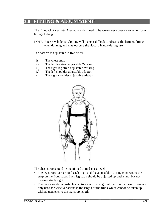## **3.0 FITTING & ADJUSTMENT**

The Thinback Parachute Assembly is designed to be worn over coveralls or other form fitting clothing.

NOTE: Excessively loose clothing will make it difficult to observe the harness fittings when donning and may obscure the ripcord handle during use.

The harness is adjustable in five places:

- i) The chest strap
- ii) The left leg strap adjustable 'V' ring
- iii) The right leg strap adjustable 'V' ring
- iv) The left shoulder adjustable adaptor
- v) The right shoulder adjustable adaptor



The chest strap should be positioned at mid-chest level.

- The leg straps pass around each thigh and the adjustable 'V' ring connects to the snap on the front strap. Each leg strap should be adjusted up until snug, but not uncomfortably tight.
- The two shoulder adjustable adaptors vary the length of the front harness. These are only used for wide variations in the length of the trunk which cannot be taken up with adjustments to the leg strap length.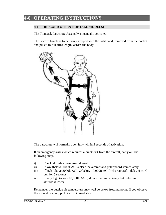## **4-0 OPERATING INSTRUCTIONS**

### **4-1 RIPCORD OPERATION (ALL MODELS)**

The Thinback Parachute Assembly is manually activated.

The ripcord handle is to be firmly gripped with the right hand, removed from the pocket and pulled to full arms length, across the body.



The parachute will normally open fully within 3 seconds of activation.

If an emergency arises which requires a quick exit from the aircraft, carry out the following steps:

- i) Check altitude above ground level.
- ii) If low (below 3000ft AGL) clear the aircraft and pull ripcord immediately.
- iii) If high (above 3000ft AGL & below 10,000ft AGL) clear aircraft, delay ripcord pull for 5 seconds.
- iv) If very high (above 10,000ft AGL) do not put immediately but delay until altitude is lower.

Remember the outside air temperature may well be below freezing point. If you observe the ground rush up, pull ripcord immediately.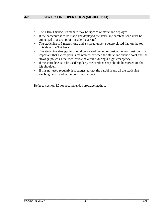### **4-2 STATIC LINE OPERATION (MODEL T104)**

- The T104 Thinback Parachute may be ripcord or static line deployed.
- If the parachute is to be static line deployed the static line carabina snap must be connected to a strongpoint inside the aircraft.
- The static line is 6 metres long and is stored under a velcro closed flap on the top outside of the Thinback.
- The static line strongpoint should be located behind or beside the seat position. It is important that a clear path is maintained between the static line anchor point and the stowage pouch as the user leaves the aircraft during a flight emergency.
- If the static line is to be used regularly the carabina snap should be stowed on the left shoulder.
- If it is not used regularly it is suggested that the carabina and all the static line webbing be stowed in the pouch at the back.

Refer to section 8.0 for recommended stowage method.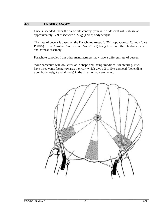#### **4-3 UNDER CANOPY**

Once suspended under the parachute canopy, your rate of descent will stabilise at approximately 17.9 ft/sec with a 77kg (170lb) body weight.

This rate of decent is based on the Parachutes Australia 26' Lopo Conical Canopy (part P008A) or the Aerolite Canopy (Part No P015-1) being fitted into the Thinback pack and harness assembly.

Parachute canopies from other manufacturers may have a different rate of descent.

Your parachute will look circular in shape and, being 'modified' for steering, it will have three vents facing towards the rear, which give a 3 to10kt airspeed (depending upon body weight and altitude) in the direction you are facing.

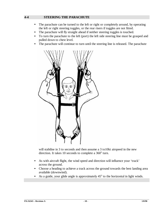### **4-4 STEERING THE PARACHUTE**

- The parachute can be turned to the left or right or completely around, by operating the left or right steering toggles, or the rear risers if toggles are not fitted.
- The parachute will fly straight ahead if neither steering toggles is touched.
- To turn the parachute to the left (port) the left side steering line must be grasped and pulled down to chest level.
- The parachute will continue to turn until the steering line is released. The parachute



will stabilise in 3 to seconds and then assume a 3 to 10kt airspeed in the new direction. It takes 10 seconds to complete a  $360^{\circ}$  turn.

- As with aircraft flight, the wind speed and direction will influence your 'track' across the ground.
- Choose a heading to achieve a track across the ground towards the best landing area available (downwind).
- As a guide, your glide angle is approximately  $45^{\circ}$  to the horizontal in light winds.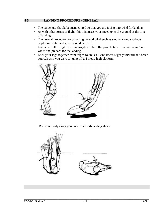### **4-5 LANDING PROCEDURE (GENERAL)**

- The parachute should be manoeuvred so that you are facing into wind for landing.
- As with other forms of flight, this minimises your speed over the ground at the time of landing.
- The normal procedure for assessing ground wind such as smoke, cloud shadows, ripples on water and grass should be used.
- Use either left or right steering toggles to turn the parachute so you are facing 'into wind' and prepare for the landing.
- Lock your legs together from thighs to ankles. Bend knees slightly forward and brace yourself as if you were to jump off a 2 metre high platform.



• Roll your body along your side to absorb landing shock.

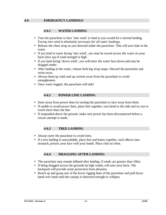### **4-6.1 WATER LANDING**

- Turn the parachute to face 'into wind' to land as you would for a normal landing. *Facing into wind is absolutely necessary for all water landings.*
- Release the chest strap as you descend under the parachute. This will save time in the water.
- If you land in water facing 'into wind', you may be towed across the water on your back (face up) if wind strength is high.
- If you land facing 'down wind', you will enter the water face down and may be dragged under.
- After landing in the water, release both leg strap snaps. Discard the parachute and swim away.
- Always head up wind and up current away from the parachute to avoid entanglement.
- Once water logged, the parachute will sink!

### **4-6.2 POWER LINE LANDING**

- Steer away from power lines by turning the parachute to face away from them.
- If unable to avoid power lines, place feet together, turn head to the side and try not to touch more than one line.
- If suspended above the ground, make sure power has been disconnected before a rescue attempt is made.

### **4-6.3 TREE LANDING**

- Always steer the parachute to avoid trees.
- If a tree landing is unavoidable, place feet and knees together, tuck elbows into stomach, protect your face with your hands. Place chin on chest.

### **4-6.4 DRAGGING AFTER LANDING**

- The parachute may remain inflated after landing, if winds are greater than 10kts.
- If being dragged across the grounds by high winds, roll onto your back. The backpack will provide some protection from abrasion.
- Reach up and grasp one of the lower rigging lines of the parachute and pull down hand over hand until the canopy is distorted enough to collapse.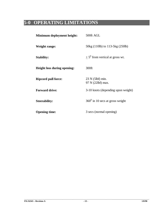## **5-0 OPERATING LIMITATIONS**

| Minimum deployment height:         | 500ft AGL                               |
|------------------------------------|-----------------------------------------|
| <b>Weight range:</b>               | 50kg (110lb) to 113-5kg (250lb)         |
| <b>Stability:</b>                  | $+5^0$ from vertical at gross wt.       |
| <b>Height loss during opening:</b> | 300ft                                   |
| <b>Ripcord pull force:</b>         | $23$ N (5lbf) min.<br>97 N (22lbf) max. |
| <b>Forward drive:</b>              | 3-10 knots (depending upon weight)      |
| <b>Steerability:</b>               | $360^0$ in 10 secs at gross weight      |
| <b>Opening time:</b>               | 3 secs (normal opening)                 |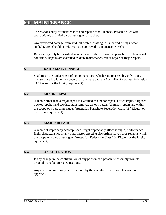### **6-0 MAINTENANCE**

The responsibility for maintenance and repair of the Thinback Parachute lies with appropriately qualified parachute rigger or packer.

Any suspected damage from acid, oil, water, chaffing, cuts, burred fittings, wear, sunlight, etc., should be referred to an approved maintenance workshop.

Repairs may only be classified as repairs when they restore the parachute to its original condition. Repairs are classified as daily maintenance, minor repair or major repair.

### **6-1 DAILY MAINTENANCE**

Shall mean the replacement of component parts which require assembly only. Daily maintenance is within the scope of a parachute packer (Australian Parachute Federation "A" Packer, or the foreign equivalent).

### **6-2 MINOR REPAIR**

A repair other than a major repair is classified as a minor repair. For example, a ripcord pocket repair, hand tacking, stain removal, canopy patch. All minor repairs are within the scope of a parachute rigger (Australian Parachute Federation Class "B" Rigger, or the foreign equivalent).

#### **6-3 MAJOR REPAIR**

A repair, if improperly accomplished, might appreciably affect strength, performance, flight characteristics or any other factor effecting airworthiness. A major repair is within the scope of a parachute rigger (Australian Federation Class "B" Rigger, or the foreign equivalent).

#### **6-4 AN ALTERATION**

Is any change in the configuration of any portion of a parachute assembly from its original manufacturer specifications.

Any alteration must only be carried out by the manufacturer or with his written approval.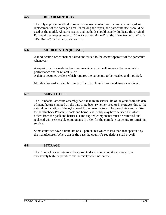#### **6-5 REPAIR METHODS**

The only approved method of repair is the re-manufacture of complete factory-like replacement of the damaged area. In making the repair, the parachute itself should be used as the model. All parts, seams and methods should exactly duplicate the original. For repair techniques, refer to "The Parachute Manual", author Dan Poynter, ISBN 0- 915516-35-7, particularly Section 7.0.

### **6-6 MODIFICATON (RECALL)**

A modification order shall be raised and issued to the owner/operator of the parachute whenever:

A superior part or material becomes available which will improve the parachute's performance and/or reliability, or

A defect becomes evident which requires the parachute to be recalled and modified.

Modification orders shall be numbered and be classified as mandatory or optional.

### **6-7 SERVICE LIFE**

The Thinback Parachute assembly has a maximum service life of 20 years from the date of manufacture stamped on the parachute back (whether used or in storage), due to the natural degradation of the nylon used for its manufacture. The parachute canopy fitted to the Thinback Parachute pack and harness assembly may have service life which differs from the pack and harness. Time expired components must be removed and replaced with serviceable components in order for the complete parachute to remain in service.

Some countries have a finite life on all parachutes which is less than that specified by the manufacturer. Where this is the case the country's regulations shall prevail.

#### **6-8 STORAGE**

The Thinback Parachute must be stored in dry shaded conditions, away from excessively high temperature and humidity when not in use.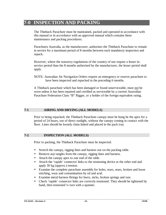### **7-0 INSPECTION AND PACKING**

The Thinback Parachute must be maintained, packed and operated in accordance with this manual or in accordance with an approved manual which contains these maintenance and packing procedures.

Parachutes Australia, as the manufacturer, authorises the Thinback Parachute to remain in service for a maximum period of 8 months between each mandatory inspection and repack.

However, where the statutory regulations of the country of use require a lesser inservice period than the 8 months authorised by the manufacturer, the lesser period shall apply.

NOTE: Australian Air Navigation Orders require an emergency or reserve parachute to have been inspected and repacked in the preceding 6 months.

A Thinback parachute which has been damaged or found unserviceable, must not be worn unless it has been repaired and certified as serviceable by a current Australian Parachute Federation Class "B" Rigger, or a holder of the foreign equivalent rating.

### **7-1 AIRING AND DRYING (ALL MODELS)**

Prior to being repacked, the Thinback Parachute canopy must be hung be the apex for a period of 24 hours, out of direct sunlight, without the canopy coming in contact with the floor. Lines should be loosely chain linked and placed in the pack tray.

#### **7-2 INSPECTION (ALL MODELS)**

Prior to packing, the Thinback Parachute must be inspected.

- Stretch the canopy, rigging lines and harness out on the packing table.
- Remove any tangles from the canopy, rigging lines and harness.
- Attach the canopy apex to one end of the table.
- Attach the 'rapide' connector links to the tensioning device at the other end and apply 30 kg (approx.) tension.
- Examine the complete parachute assembly for holes, tears, sears, broken and loose stitching, wear and contamination by oil and acid.
- Examine metal harness fittings for burrs, nicks, broken springs and rust.
- Check 'rapide' connector links are correctly tensioned. They should be tightened by hand, then tensioned 1/4 turn with a spanner.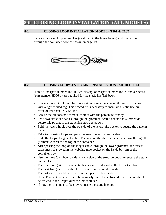### **8-0 CLOSING LOOP INSTALLATION (ALL MODELS**

#### **8-1 CLOSING LOOP INSTALLATION MODEL - T101 & T102**

Take two closing loop assemblies (as shown in the figure below) and mount them through the container floor as shown on page 19.



### **8-2 CLOSING LOOP/STATIC LINE INSTALLATION - MODEL T104**

A static line (part number B074), two closing loops (part number B077) and a ripcord (part number H006-1) are required for the static line Thinback.

- Smear a very thin film of clear non-staining sewing machine oil over both cables with a lightly oiled rag. This procedure is necessary to maintain a static line pull force of less than 97 N (22 lbf).
- Ensure the oil does not come in contact with the parachute canopy.
- Feed two static line cables through the grommet located behind the 50mm wide velcro pile pocket in the static line stowage pouch.
- Fold the velcro hook over the outside of the velcro pile pocket to secure the cable in place.
- Take two closing loops and pass one over the end of each cable.
- Slide the loops along each cable. The loop on the shorter cable must pass through the grommet closest to the top of the container.
- After passing the loop on the longer cable through the lower grommet, the excess cable must be stowed in the webbing tube pocket on the inside bottom of the container tray.
- Use the three (3) rubber bands on each side of the stowage pouch to secure the static line in place.
- The first three (3) metres of static line should be stowed in the lower two bands.
- The next two (2) metres should be stowed in the middle bands.
- The last metre should be stowed in the upper rubber bands.
- If the Thinback parachute is to be regularly static line activated, the carabina should be stowed in the keeper over the left shoulder.
- If not, the carabina is to be stowed inside the static line pouch.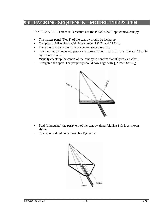## **9-0 PACKING SEQUENCE – MODEL T102 & T104**

The T102 & T104 Thinback Parachute use the P0008A 26' Lopo conical canopy.

- The master panel (No. 1) of the canopy should be facing up.
- Complete a 4-line check with lines number 1 & 24 and 12 & 13.
- Flake the canopy in the manner you are accustomed to.
- Lay the canopy down and pleat each gore ensuring 1 to 12 lay one side and 13 to 24 lay the other side.
- Visually check up the centre of the canopy to confirm that all gores are clear.
- Straighten the apex. The periphery should now align with  $+25$ mm. See Fig.



- Fold (triangulate) the periphery of the canopy along fold line  $1 \& 2$ , as shown above.
- The canopy should now resemble Fig.below:

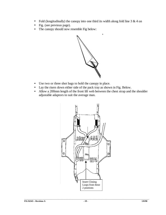- Fold (longitudinally) the canopy into one third its width along fold line  $3 & 4$  on
- Fig. (see previous page).
- The canopy should now resemble Fig below:



- Use two or three shot bags to hold the canopy in place.
- Lay the risers down either side of the pack tray as shown in Fig. Below.
- Allow a 200mm length of the front lift web between the chest strap and the shoulder adjustable adaptors to suit the average man.

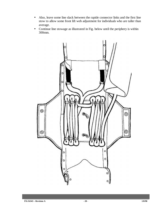- Also, leave some line slack between the rapide connector links and the first line stow to allow some front lift web adjustment for individuals who are taller than average.
- Continue line stowage as illustrated in Fig. below until the periphery is within 300mm.

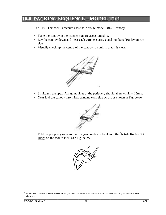## **10-0 PACKING SEQUENCE – MODEL T101**

The T101 Thinback Parachute uses the Aerolite model P015-1 canopy.

- Flake the canopy in the manner you are accustomed to.
- Lay the canopy down and pleat each gore, ensuring equal numbers (10) lay on each side.
- Visually check up the centre of the canopy to confirm that it is clear.



- Straighten the apex. Al rigging lines at the periphery should align within  $\pm 25$ mm.
- Next fold the canopy into thirds bringing each side across as shown in Fig. below:



• Fold the periphery over so that the grommets are level with the <sup>\*</sup>Nitrile Rubber 'O' Rings on the mouth lock. See Fig. below:



 \* PA Part Number M138-2 Nitrile Rubber 'O' Ring or commercial equivalent must be used for the mouth lock. Regular bands can be used elsewhere.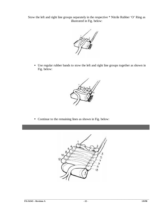Stow the left and right line groups separately in the respective \* Nitrile Rubber 'O' Ring as illustrated in Fig. below:



• Use regular rubber bands to stow the left and right line groups together as shown in Fig. below:



• Continue to the remaining lines as shown in Fig. below:

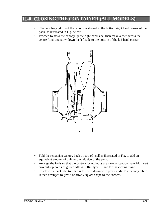## **11-0 CLOSING THE CONTAINER (ALL MODELS)**

- The periphery (skirt) of the canopy is stowed in the bottom right hand corner of the pack, as illustrated in Fig. below.
- Proceed to stow the canopy up the right hand side, then make a "V" across the centre (top) and stow down the left side to the bottom of the left hand corner.



- Fold the remaining canopy back on top of itself as illustrated in Fig. to add an equivalent amount of bulk to the left side of the pack.
- Arrange the folds so that the centre closing loops are clear of canopy material. Insert two pull-up cords of gutted MIL-C-5040 type III line for the closing stage.
- To close the pack, the top flap is fastened down with press studs. The canopy fabric is then arranged to give a relatively square shape to the corners.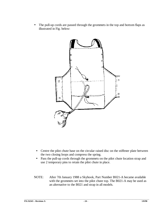• The pull-up cords are passed through the grommets in the top and bottom flaps as illustrated in Fig. below:



- Centre the pilot chute base on the circular raised disc on the stiffener plate between the two closing loops and compress the spring.
- Pass the pull-up cords through the grommets on the pilot chute location strap and use 2 temporary pins to retain the pilot chute in place.
- NOTE: After 7th January 1988 a Skyhook, Part Number B021-A became available with the grommets set into the pilot chute top. The B021-A may be used as an alternative to the B021 and strap in all models.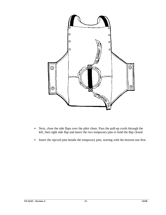

- Next, close the side flaps over the pilot chute. Pass the pull-up cords through the left, then right side flap and insert the two temporary pins to hold the flap closed.
- Insert the ripcord pins beside the temporary pins, starting with the bottom one first.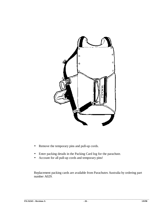

- Remove the temporary pins and pull-up cords.
- Enter packing details in the Packing Card log for the parachute.
- Account for all pull-up cords and temporary pins!

Replacement packing cards are available from Parachutes Australia by ordering part number A029.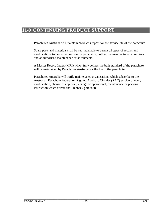## **11-0 CONTINUING PRODUCT SUPPORT**

Parachutes Australia will maintain product support for the service life of the parachute.

Spare parts and materials shall be kept available to permit all types of repairs and modifications to be carried out on the parachute, both at the manufacturer's premises and at authorised maintenance establishments.

A Master Record Index (MRI) which fully defines the built standard of the parachute will be maintained by Parachutes Australia for the life of the parachute.

Parachutes Australia will notify maintenance organisations which subscribe to the Australian Parachute Federation Rigging Advisory Circular (RAC) service of every modification, change of approval, change of operational, maintenance or packing instruction which affects the Thinback parachute.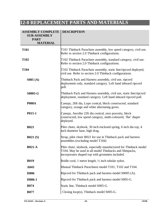## **12-0 REPLACEMENT PARTS AND MATERIALS**

| <b>ASSEMBLY COMPLETE</b><br><b>SUB-ASSEMBLY</b><br><b>PART</b><br><b>MATERIAL</b> | <b>DESCRIPTION</b>                                                                                                                                                             |
|-----------------------------------------------------------------------------------|--------------------------------------------------------------------------------------------------------------------------------------------------------------------------------|
| <b>T101</b>                                                                       | T101 Thinback Parachute assembly, low speed category, civil use.<br>Refer to section 2.0 Thinback configurations.                                                              |
| <b>T102</b>                                                                       | T102 Thinback Parachute assembly, standard category, civil use.<br>Refer to section 2.0 Thinback configurations.                                                               |
| <b>T104</b>                                                                       | T102 Thinback Parachute assembly, static line/ripcord deployed,<br>civil use. Refer to section 2.0 Thinback configurations.                                                    |
| S005(A)                                                                           | Thinback Pack and Harness assembly, civil use, ripcord<br>deployment only, standard category. Left hand inboard ripcord<br>pull.                                               |
| <b>S0005-G</b>                                                                    | Thinback Pack and Harness assembly, civil use, static line/ripcord<br>deployment, standard category. Left hand inboard ripcord pull.                                           |
| <b>P008A</b>                                                                      | Canopy, 26ft dia, Lopo conical, block constructed, standard<br>category, orange and white alternating gores.                                                                   |
| P015-1                                                                            | Canopy, Aerolite 22ft dia conical, zero porosity, block<br>constructed, low speed category, multi-coloured, 'flat' diaper<br>deployed.                                         |
| <b>B021</b>                                                                       | Pilot chute, skyhook, 30 inch enclosed spring, 6 inch dia top, 4<br>inch diameter base, high drag.                                                                             |
| B021(S)                                                                           | Strap, pilot chute B021 for use in Thinback pack and harness<br>assemblies (excluding model T104)                                                                              |
| <b>B021-A</b>                                                                     | Pilot chute, skyhook, especially manufactured for Thinback model<br>T104. May be used in all model Thinbacks and Slimpacks.<br>incorporates shaped top with grommets included. |
| <b>B019</b>                                                                       | Bridle cord, 1 metre length, $\frac{1}{2}$ inch tubular nylon.                                                                                                                 |
| A043                                                                              | Manual Thinback Parachutes model T101, T102 and T104.                                                                                                                          |
| H <sub>006</sub>                                                                  | Ripcord for Thinback pack and harness model S0005 (A).                                                                                                                         |
| H006-1                                                                            | Ripcord for Thinback pack and harness model S005-G.                                                                                                                            |
| <b>B074</b>                                                                       | Static line, Thinback model S005-G.                                                                                                                                            |
| <b>B077</b>                                                                       | Closing loop(s), Thinback model S005-G.                                                                                                                                        |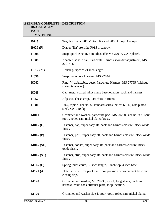| <b>SSEMBLY COMPLETE</b><br><b>SUB-ASSEMBLY</b><br><b>PART</b><br><b>MATERIAL</b> | <b>DESCRIPTION</b>                                                                                                |
|----------------------------------------------------------------------------------|-------------------------------------------------------------------------------------------------------------------|
| <b>B045</b>                                                                      | Toggles (pair), P015-1 Aerolite and P008A Lopo Canopy.                                                            |
| $B029$ (F)                                                                       | Diaper 'flat' Aerolite P015-1 canopy.                                                                             |
| <b>H008</b>                                                                      | Snap, quick ejector, non-adjustable MS 22017, CAD plated.                                                         |
| H <sub>009</sub>                                                                 | Adapter, solid 3 bar, Parachute Harness shoulder adjustment, MS<br>22014-1.                                       |
| H017(21)                                                                         | Housing, ripcord 21 inch length.                                                                                  |
| H036                                                                             | Snap, Parachute Harness, MS 22044.                                                                                |
| H <sub>042</sub>                                                                 | Ring, V, adjustable, deep, Parachute Harness, MS 27765 (without<br>spring tensioner).                             |
| H <sub>043</sub>                                                                 | Cap, metal coated, pilot chute base location, pack and harness.                                                   |
| H <sub>057</sub>                                                                 | Adjuster, chest strap, Parachute Harness.                                                                         |
| <b>H080</b>                                                                      | Link, rapide, size no. 6, standard series 'N' ref 6.0 N, zinc plated<br>steel, SWL 400kg.                         |
| <b>M011</b>                                                                      | Grommet and washer, parachute pack MS 20230, size no. 'O', spur<br>tooth, rolled rim, nickel plated brass.        |
| M015(C)                                                                          | Fastener, cap, super easy lift, pack and harness closure, black oxide<br>finish.                                  |
| M015(P)                                                                          | Fastener, post, super easy lift, pack and harness closure, black oxide<br>finish.                                 |
| <b>M015 (SO)</b>                                                                 | Fastener, socket, super easy lift, pack and harness closure, black<br>oxide finish.                               |
| <b>M015 (ST)</b>                                                                 | Fastener, stud, super easy lift, pack and harness closure, black oxide<br>finish.                                 |
| $M105$ (L)                                                                       | Spring, pilot chute, 30 inch length, 6 inch top, 4 inch base.                                                     |
| M121(A)                                                                          | Plate, stiffener, for pilot chute compression between pack base and<br>closing flap.                              |
| M128                                                                             | Grommet and washer, MS 20230, size 1, long shank, pack and<br>harness inside back stiffener plate, loop location. |
| M129                                                                             | Grommet and washer size 1, spur tooth, rolled rim, nickel plated.                                                 |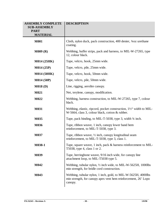| <b>ASSEMBLY COMPLETE</b><br><b>SUB-ASSEMBLY</b><br><b>PART</b><br><b>MATERIAL</b> | <b>DESCRIPTION</b>                                                                                                                         |
|-----------------------------------------------------------------------------------|--------------------------------------------------------------------------------------------------------------------------------------------|
| <b>M001</b>                                                                       | Cloth, nylon duck, pack construction, 400 denier, 3⁄40z urethane<br>coating.                                                               |
| M009(R)                                                                           | Webbing, buffer strips, pack and harness, to MIL-W-27265, type<br>12, colour black.                                                        |
| <b>M014 (25HK)</b>                                                                | Tape, velcro, hook, 25mm wide.                                                                                                             |
| M014(25P)                                                                         | Tape, velcro, pile, 25mm wide.                                                                                                             |
| M014 (50HK)                                                                       | Tape, velcro, hook, 50mm wide.                                                                                                             |
| M014 (50P)                                                                        | Tape, velcro, pile, 50mm wide.                                                                                                             |
| M018(D)                                                                           | Line, rigging, aerolite canopy.                                                                                                            |
| <b>M021</b>                                                                       | Net, terylene, canopy, modification.                                                                                                       |
| M022                                                                              | Webbing, harness construction, to MIL-W-27265, type 7, colour<br>black.                                                                    |
| <b>M031</b>                                                                       | Webbing, elastic, ripcord, pocket construction, 1½" width to MIL-<br>W-5664, class 3, colour black, cotton & rubber.                       |
| M035                                                                              | Tape, pack binding, to MIL-T-5038, type 3, width 3/4 inch.                                                                                 |
| M036                                                                              | Tape, ribbon weave, 1 inch, canopy lower band hem<br>reinforcement, to MIL-T-5038, type 3.                                                 |
| M037                                                                              | Tape, ribbon weave, $\frac{1}{2}$ inch, canopy longitudinal seam<br>reinforcement, to MIL-T-5038, type 3, class 1.                         |
| M038-1                                                                            | Tape, square weave, 1 inch, pack & harness reinforcement to MIL-<br>T5038, type 4, class 1 or 2.                                           |
| M039                                                                              | Tape, herringbone weave, 9/16 inch wide, for canopy line<br>attachment loop, to MIL-T5038 type 5.                                          |
| M042                                                                              | Webbing, tubular nylon, 1/2 inch wide, to MIL-W-5625H, 1000lbs<br>min strength, for bridle cord construction.                              |
| M043                                                                              | Webbing, tubular nylon, 1 inch, gold, to MIL-W-5625H, 4000lbs<br>min strength, for canopy apex vent hem reinforcement, 26' Lopo<br>canopy. |